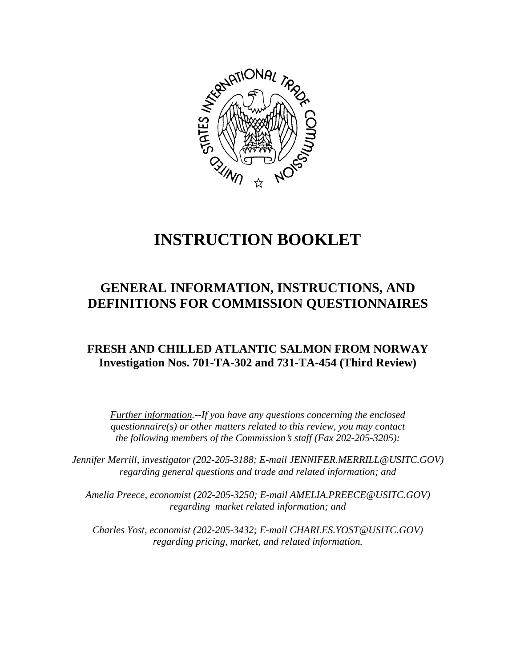

# **INSTRUCTION BOOKLET**

# **GENERAL INFORMATION, INSTRUCTIONS, AND DEFINITIONS FOR COMMISSION QUESTIONNAIRES**

# **FRESH AND CHILLED ATLANTIC SALMON FROM NORWAY Investigation Nos. 701-TA-302 and 731-TA-454 (Third Review)**

*Further information.--If you have any questions concerning the enclosed questionnaire(s) or other matters related to this review, you may contact the following members of the Commission's staff (Fax 202-205-3205):* 

 *Jennifer Merrill, investigator (202-205-3188; E-mail JENNIFER.MERRILL@USITC.GOV) regarding general questions and trade and related information; and* 

 *Amelia Preece, economist (202-205-3250; E-mail AMELIA.PREECE@USITC.GOV) regarding market related information; and* 

 *Charles Yost, economist (202-205-3432; E-mail CHARLES.YOST@USITC.GOV) regarding pricing, market, and related information.*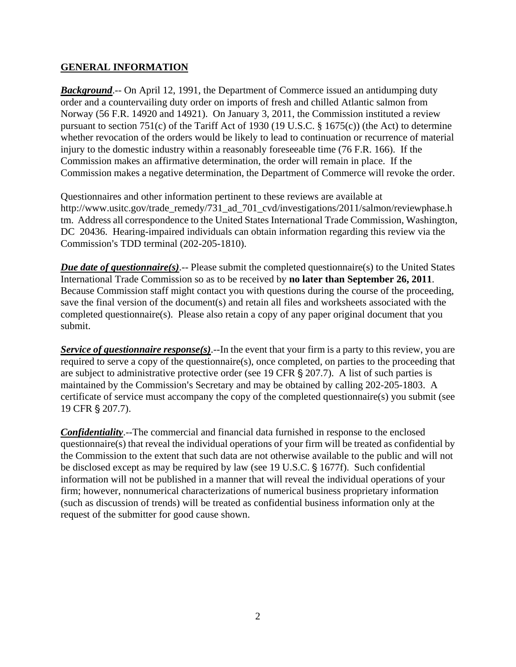# **GENERAL INFORMATION**

*Background.*-- On April 12, 1991, the Department of Commerce issued an antidumping duty order and a countervailing duty order on imports of fresh and chilled Atlantic salmon from Norway (56 F.R. 14920 and 14921). On January 3, 2011, the Commission instituted a review pursuant to section 751(c) of the Tariff Act of 1930 (19 U.S.C. § 1675(c)) (the Act) to determine whether revocation of the orders would be likely to lead to continuation or recurrence of material injury to the domestic industry within a reasonably foreseeable time (76 F.R. 166). If the Commission makes an affirmative determination, the order will remain in place. If the Commission makes a negative determination, the Department of Commerce will revoke the order.

Questionnaires and other information pertinent to these reviews are available at http://www.usitc.gov/trade\_remedy/731\_ad\_701\_cvd/investigations/2011/salmon/reviewphase.h tm. Address all correspondence to the United States International Trade Commission, Washington, DC 20436. Hearing-impaired individuals can obtain information regarding this review via the Commission's TDD terminal (202-205-1810).

*Due date of questionnaire(s)*.-- Please submit the completed questionnaire(s) to the United States International Trade Commission so as to be received by **no later than September 26, 2011**. Because Commission staff might contact you with questions during the course of the proceeding, save the final version of the document(s) and retain all files and worksheets associated with the completed questionnaire(s). Please also retain a copy of any paper original document that you submit.

*Service of questionnaire response(s)*.--In the event that your firm is a party to this review, you are required to serve a copy of the questionnaire(s), once completed, on parties to the proceeding that are subject to administrative protective order (see 19 CFR  $\S 207.7$ ). A list of such parties is maintained by the Commission's Secretary and may be obtained by calling 202-205-1803. A certificate of service must accompany the copy of the completed questionnaire(s) you submit (see 19 CFR § 207.7).

*Confidentiality*.--The commercial and financial data furnished in response to the enclosed questionnaire(s) that reveal the individual operations of your firm will be treated as confidential by the Commission to the extent that such data are not otherwise available to the public and will not be disclosed except as may be required by law (see 19 U.S.C. § 1677f). Such confidential information will not be published in a manner that will reveal the individual operations of your firm; however, nonnumerical characterizations of numerical business proprietary information (such as discussion of trends) will be treated as confidential business information only at the request of the submitter for good cause shown.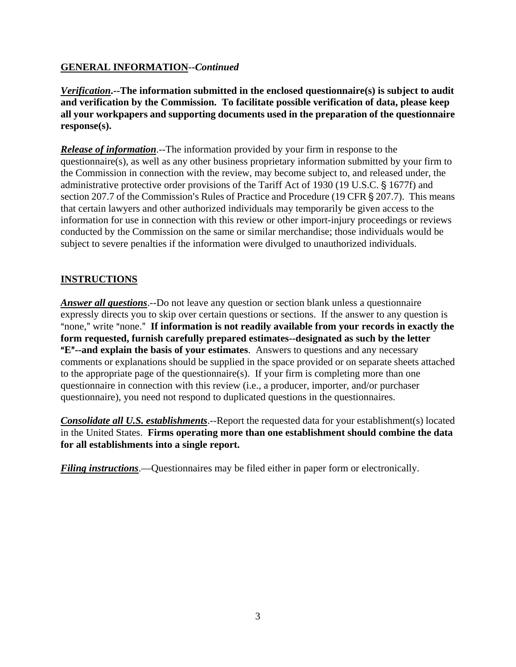# **GENERAL INFORMATION--***Continued*

*Verification***.--The information submitted in the enclosed questionnaire(s) is subject to audit and verification by the Commission. To facilitate possible verification of data, please keep all your workpapers and supporting documents used in the preparation of the questionnaire response(s).**

*Release of information*.--The information provided by your firm in response to the questionnaire(s), as well as any other business proprietary information submitted by your firm to the Commission in connection with the review, may become subject to, and released under, the administrative protective order provisions of the Tariff Act of 1930 (19 U.S.C. § 1677f) and section 207.7 of the Commission's Rules of Practice and Procedure (19 CFR  $\S$  207.7). This means that certain lawyers and other authorized individuals may temporarily be given access to the information for use in connection with this review or other import-injury proceedings or reviews conducted by the Commission on the same or similar merchandise; those individuals would be subject to severe penalties if the information were divulged to unauthorized individuals.

# **INSTRUCTIONS**

*Answer all questions*.--Do not leave any question or section blank unless a questionnaire expressly directs you to skip over certain questions or sections. If the answer to any question is "none," write "none." If information is not readily available from your records in exactly the **form requested, furnish carefully prepared estimates--designated as such by the letter E<sup>"</sup>--and explain the basis of your estimates**. Answers to questions and any necessary comments or explanations should be supplied in the space provided or on separate sheets attached to the appropriate page of the questionnaire(s). If your firm is completing more than one questionnaire in connection with this review (i.e., a producer, importer, and/or purchaser questionnaire), you need not respond to duplicated questions in the questionnaires.

*Consolidate all U.S. establishments.*--Report the requested data for your establishment(s) located in the United States. **Firms operating more than one establishment should combine the data for all establishments into a single report.**

*Filing instructions*.—Questionnaires may be filed either in paper form or electronically.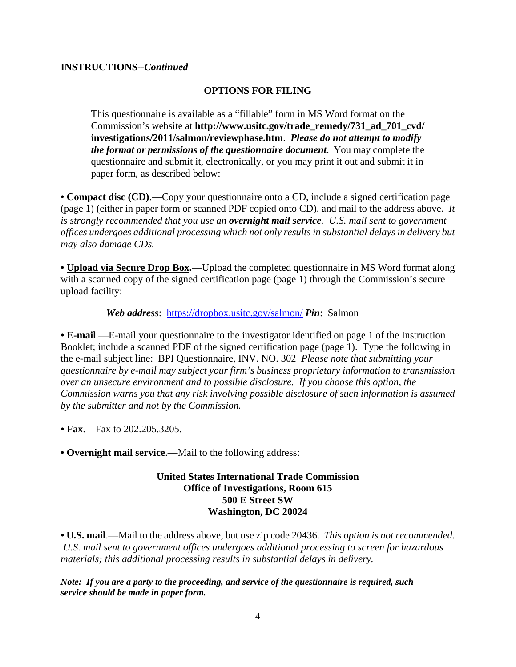#### **INSTRUCTIONS--***Continued*

#### **OPTIONS FOR FILING**

This questionnaire is available as a "fillable" form in MS Word format on the Commission's website at **http://www.usitc.gov/trade\_remedy/731\_ad\_701\_cvd/ investigations/2011/salmon/reviewphase.htm**. *Please do not attempt to modify the format or permissions of the questionnaire document*. You may complete the questionnaire and submit it, electronically, or you may print it out and submit it in paper form, as described below:

**• Compact disc (CD)**.—Copy your questionnaire onto a CD, include a signed certification page (page 1) (either in paper form or scanned PDF copied onto CD), and mail to the address above. *It is strongly recommended that you use an overnight mail service. U.S. mail sent to government offices undergoes additional processing which not only results in substantial delays in delivery but may also damage CDs.* 

• **Upload via Secure Drop Box.**—Upload the completed questionnaire in MS Word format along with a scanned copy of the signed certification page (page 1) through the Commission's secure upload facility:

*Web address*: https://dropbox.usitc.gov/salmon/ *Pin*: Salmon

**• E-mail**.—E-mail your questionnaire to the investigator identified on page 1 of the Instruction Booklet; include a scanned PDF of the signed certification page (page 1). Type the following in the e-mail subject line: BPI Questionnaire, INV. NO. 302 *Please note that submitting your questionnaire by e-mail may subject your firm's business proprietary information to transmission over an unsecure environment and to possible disclosure. If you choose this option, the Commission warns you that any risk involving possible disclosure of such information is assumed by the submitter and not by the Commission.* 

- **Fax**.—Fax to 202.205.3205.
- **Overnight mail service**.—Mail to the following address:

#### **United States International Trade Commission Office of Investigations, Room 615 500 E Street SW Washington, DC 20024**

**• U.S. mail**.—Mail to the address above, but use zip code 20436. *This option is not recommended. U.S. mail sent to government offices undergoes additional processing to screen for hazardous materials; this additional processing results in substantial delays in delivery.* 

*Note: If you are a party to the proceeding, and service of the questionnaire is required, such service should be made in paper form.*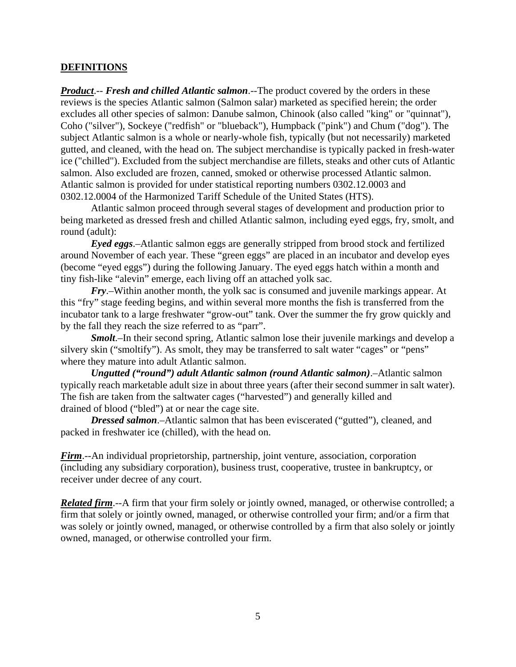#### **DEFINITIONS**

*Product*.-- *Fresh and chilled Atlantic salmon*.--The product covered by the orders in these reviews is the species Atlantic salmon (Salmon salar) marketed as specified herein; the order excludes all other species of salmon: Danube salmon, Chinook (also called "king" or "quinnat"), Coho ("silver"), Sockeye ("redfish" or "blueback"), Humpback ("pink") and Chum ("dog"). The subject Atlantic salmon is a whole or nearly-whole fish, typically (but not necessarily) marketed gutted, and cleaned, with the head on. The subject merchandise is typically packed in fresh-water ice ("chilled"). Excluded from the subject merchandise are fillets, steaks and other cuts of Atlantic salmon. Also excluded are frozen, canned, smoked or otherwise processed Atlantic salmon. Atlantic salmon is provided for under statistical reporting numbers 0302.12.0003 and 0302.12.0004 of the Harmonized Tariff Schedule of the United States (HTS).

Atlantic salmon proceed through several stages of development and production prior to being marketed as dressed fresh and chilled Atlantic salmon, including eyed eggs, fry, smolt, and round (adult):

*Eyed eggs*.–Atlantic salmon eggs are generally stripped from brood stock and fertilized around November of each year. These "green eggs" are placed in an incubator and develop eyes (become "eyed eggs") during the following January. The eyed eggs hatch within a month and tiny fish-like "alevin" emerge, each living off an attached yolk sac.

*Fry*.–Within another month, the yolk sac is consumed and juvenile markings appear. At this "fry" stage feeding begins, and within several more months the fish is transferred from the incubator tank to a large freshwater "grow-out" tank. Over the summer the fry grow quickly and by the fall they reach the size referred to as "parr".

*Smolt*.–In their second spring, Atlantic salmon lose their juvenile markings and develop a silvery skin ("smoltify"). As smolt, they may be transferred to salt water "cages" or "pens" where they mature into adult Atlantic salmon.

*Ungutted ("round") adult Atlantic salmon (round Atlantic salmon)*.–Atlantic salmon typically reach marketable adult size in about three years (after their second summer in salt water). The fish are taken from the saltwater cages ("harvested") and generally killed and drained of blood ("bled") at or near the cage site.

*Dressed salmon*.–Atlantic salmon that has been eviscerated ("gutted"), cleaned, and packed in freshwater ice (chilled), with the head on.

*Firm*.--An individual proprietorship, partnership, joint venture, association, corporation (including any subsidiary corporation), business trust, cooperative, trustee in bankruptcy, or receiver under decree of any court.

*Related firm*.--A firm that your firm solely or jointly owned, managed, or otherwise controlled; a firm that solely or jointly owned, managed, or otherwise controlled your firm; and/or a firm that was solely or jointly owned, managed, or otherwise controlled by a firm that also solely or jointly owned, managed, or otherwise controlled your firm.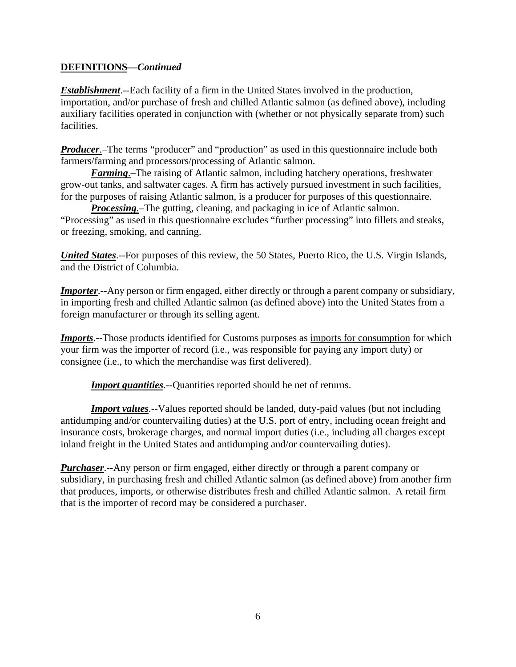# **DEFINITIONS—***Continued*

*Establishment*.--Each facility of a firm in the United States involved in the production, importation, and/or purchase of fresh and chilled Atlantic salmon (as defined above), including auxiliary facilities operated in conjunction with (whether or not physically separate from) such facilities.

*Producer*.–The terms "producer" and "production" as used in this questionnaire include both farmers/farming and processors/processing of Atlantic salmon.

*Farming*.–The raising of Atlantic salmon, including hatchery operations, freshwater grow-out tanks, and saltwater cages. A firm has actively pursued investment in such facilities, for the purposes of raising Atlantic salmon, is a producer for purposes of this questionnaire.

*Processing*.–The gutting, cleaning, and packaging in ice of Atlantic salmon. "Processing" as used in this questionnaire excludes "further processing" into fillets and steaks, or freezing, smoking, and canning.

*United States*.--For purposes of this review, the 50 States, Puerto Rico, the U.S. Virgin Islands, and the District of Columbia.

*Importer*.--Any person or firm engaged, either directly or through a parent company or subsidiary, in importing fresh and chilled Atlantic salmon (as defined above) into the United States from a foreign manufacturer or through its selling agent.

*Imports*.--Those products identified for Customs purposes as imports for consumption for which your firm was the importer of record (i.e., was responsible for paying any import duty) or consignee (i.e., to which the merchandise was first delivered).

*Import quantities*.--Quantities reported should be net of returns.

*Import values*.--Values reported should be landed, duty-paid values (but not including antidumping and/or countervailing duties) at the U.S. port of entry, including ocean freight and insurance costs, brokerage charges, and normal import duties (i.e., including all charges except inland freight in the United States and antidumping and/or countervailing duties).

*Purchaser*.--Any person or firm engaged, either directly or through a parent company or subsidiary, in purchasing fresh and chilled Atlantic salmon (as defined above) from another firm that produces, imports, or otherwise distributes fresh and chilled Atlantic salmon. A retail firm that is the importer of record may be considered a purchaser.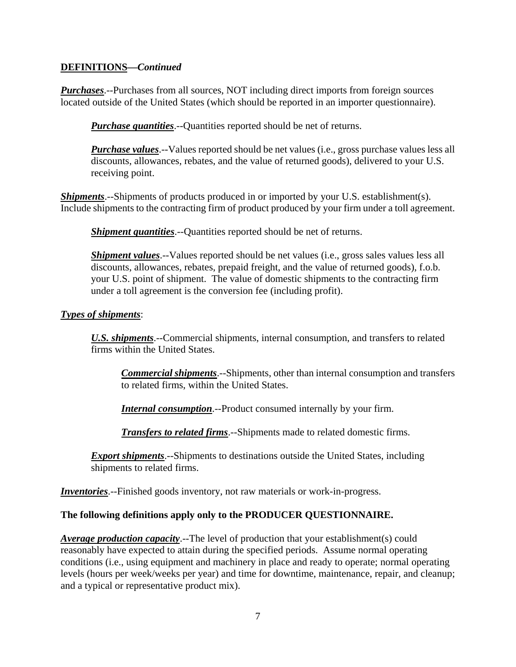# **DEFINITIONS—***Continued*

*Purchases*.--Purchases from all sources, NOT including direct imports from foreign sources located outside of the United States (which should be reported in an importer questionnaire).

*Purchase quantities*.--Quantities reported should be net of returns.

*Purchase values*.--Values reported should be net values (i.e., gross purchase values less all discounts, allowances, rebates, and the value of returned goods), delivered to your U.S. receiving point.

*Shipments*.--Shipments of products produced in or imported by your U.S. establishment(s). Include shipments to the contracting firm of product produced by your firm under a toll agreement.

*Shipment quantities*.--Quantities reported should be net of returns.

*Shipment values*.--Values reported should be net values (i.e., gross sales values less all discounts, allowances, rebates, prepaid freight, and the value of returned goods), f.o.b. your U.S. point of shipment. The value of domestic shipments to the contracting firm under a toll agreement is the conversion fee (including profit).

# *Types of shipments*:

*U.S. shipments*.--Commercial shipments, internal consumption, and transfers to related firms within the United States.

*Commercial shipments*.--Shipments, other than internal consumption and transfers to related firms, within the United States.

*Internal consumption*.--Product consumed internally by your firm.

*Transfers to related firms*.--Shipments made to related domestic firms.

*Export shipments*.--Shipments to destinations outside the United States, including shipments to related firms.

*Inventories*.--Finished goods inventory, not raw materials or work-in-progress.

# **The following definitions apply only to the PRODUCER QUESTIONNAIRE.**

*Average production capacity*.--The level of production that your establishment(s) could reasonably have expected to attain during the specified periods. Assume normal operating conditions (i.e., using equipment and machinery in place and ready to operate; normal operating levels (hours per week/weeks per year) and time for downtime, maintenance, repair, and cleanup; and a typical or representative product mix).